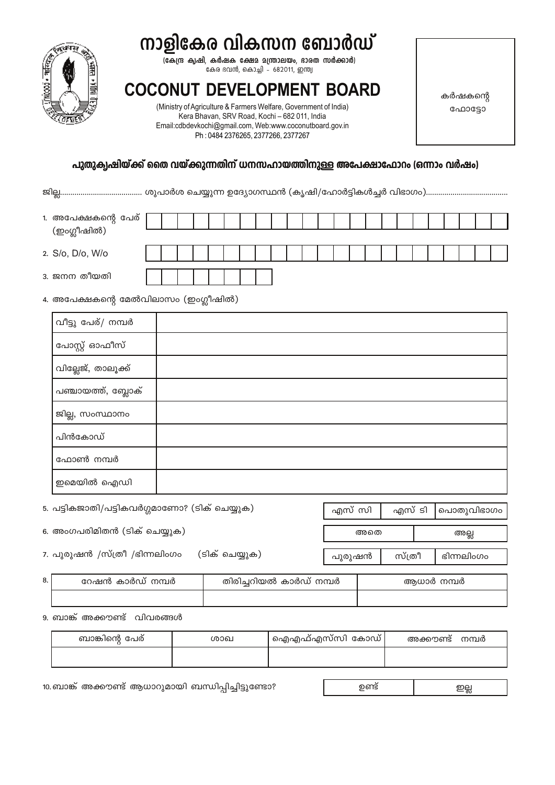

# നാളികേര വികസന ബോർഡ്

(കേന്ദ്ര കൃഷി, കർഷക ക്ഷേമ മന്ത്രാലയം, ഭാരത സർക്കാർ) .<br>കേര ഭവൻ, കൊച്ചി - 682011, ഇന്ത്യ

# COCONUT DEVELOPMENT BOARD

(Ministry of Agriculture & Farmers Welfare, Government of India) Kera Bhavan, SRV Road, Kochi - 682 011, India Email:cdbdevkochi@gmail.com, Web:www.coconutboard.gov.in Ph: 0484 2376265, 2377266, 2377267

കർഷകന്റെ ഫോട്ടോ

#### പുതുക്വഷിയ്ക്ക് തൈ വയ്ക്കുന്നതിന് ധനസഹായത്തിനുള്ള അപേക്ഷാഫോറം (ഒന്നാം വർഷം)

| 1. അപേക്ഷകന്റെ പേര്<br>(ഇംഗ്ലീഷിൽ) |  |  |  |  |  |  |  |  |  |  |  |  |
|------------------------------------|--|--|--|--|--|--|--|--|--|--|--|--|
|                                    |  |  |  |  |  |  |  |  |  |  |  |  |
| 2. S/o, D/o, W/o                   |  |  |  |  |  |  |  |  |  |  |  |  |
| 3. ജനന തീയതി                       |  |  |  |  |  |  |  |  |  |  |  |  |

4. അപേക്ഷകന്റെ മേൽവിലാസം (ഇംഗ്ലീഷിൽ)

| വീട്ടു പേര്/ നമ്പർ |  |
|--------------------|--|
| പോസ്റ്റ് ഓഫീസ്     |  |
| വില്ലേജ്, താലൂക്ക് |  |
| പഞ്ചായത്ത്, ബ്ലോക് |  |
| ജില്ല, സംസ്ഥാനം    |  |
| പിൻകോഡ്            |  |
| ഫോൺ നമ്പർ          |  |
| ഇമെയിൽ ഐഡി         |  |

5. പട്ടികജാതി/പട്ടികവർഗ്ഗമാണോ? (ടിക് ചെയ്യുക)

6. അംഗപരിമിതൻ (ടിക് ചെയ്യുക)

7. പുരുഷൻ /സ്ത്രീ /ഭിന്നലിംഗം

| എസ് സി   | എസ് ടി | പൊതുവിഭാഗം |
|----------|--------|------------|
| അതെ      |        | അല്ല       |
|          |        |            |
| പ്പിരിഷൻ | സ്ത്രീ | ഭിന്നലിംഗം |

| 8. | റേഷൻ കാർഡ് നമ്പർ | തിരിചറിയൽ കാർഡ് നമ്പർ | അധാർ നമ്പർ |
|----|------------------|-----------------------|------------|
|    |                  |                       |            |

(ടിക് ചെയ്യുക)

9. ബാങ്ക് അക്കൗണ്ട് വിവരങ്ങൾ

| ബാങ്കിന്റെ പേര് | ശാഖ | ' ഐഎഫ്എസ്സി കോഡ് | നമ്പർ<br>അക്കൗണ്ട് |
|-----------------|-----|------------------|--------------------|
|                 |     |                  |                    |

10. ബാങ്ക് അക്കൗണ്ട് ആധാറുമായി ബന്ധിപ്പിച്ചിട്ടുണ്ടോ?

ഉണ്ട് ஜ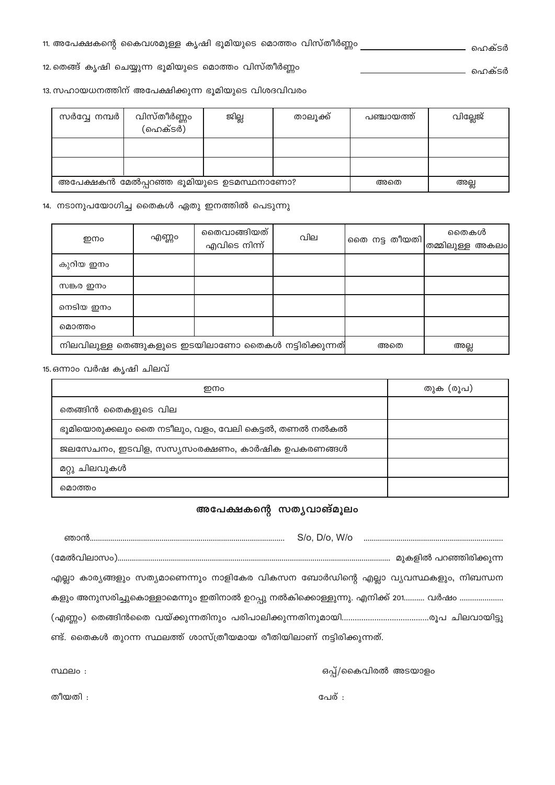12. തെങ്ങ് കൃഷി ചെയ്യുന്ന ഭൂമിയുടെ മൊത്തം വിസ്തീർണ്ണം

13. സഹായധനത്തിന് അപേക്ഷിക്കുന്ന ഭൂമിയുടെ വിശദവിവരം

| സർവ്വേ നമ്പർ | വിസ്തീർണ്ണം<br>(ഹെക്ടർ)                  | ജില്ല | താലൂക്ക് | പഞ്ചായത്ത് | വില്ലേജ് |
|--------------|------------------------------------------|-------|----------|------------|----------|
|              |                                          |       |          |            |          |
|              |                                          |       |          |            |          |
|              | അപേക്ഷകൻ മേൽപ്പറഞ്ഞ ഭൂമിയുടെ ഉടമസ്ഥനാണോ? | അതെ   | അല്ല     |            |          |

14. നടാനുപയോഗിച്ച തൈകൾ ഏതു ഇനത്തിൽ പെടുന്നു

| ഇനം       | എണ്ണം | നൈവാങ്ങിയത്<br>എവിടെ നിന്ന്                           | വില |  |     | തൈകൾ<br> തൈ നട്ട തീയതി $ $ തമ്മിലുള്ള അകലം $^{\prime}$ |
|-----------|-------|-------------------------------------------------------|-----|--|-----|--------------------------------------------------------|
| കുറിയ ഇനം |       |                                                       |     |  |     |                                                        |
| സങ്കര ഇനം |       |                                                       |     |  |     |                                                        |
| നെടിയ ഇനം |       |                                                       |     |  |     |                                                        |
| മൊത്തം    |       |                                                       |     |  |     |                                                        |
|           |       | നിലവിലുള്ള തെങ്ങുകളുടെ ഇടയിലാണോ തൈകൾ നട്ടിരിക്കുന്നത് |     |  | അതെ | അല്ല                                                   |

15.ഒന്നാം വർഷ കൃഷി ചിലവ്

| ഇനം                                                  | തുക (രൂപ) |
|------------------------------------------------------|-----------|
| തെങ്ങിൻ തൈകളുടെ വില                                  |           |
| ഭൂമിയൊരുക്കലും തൈ നടീലും, വളം, വേലി കെട്ടൽ, തണൽ നൽകൽ |           |
| ജലസേചനം, ഇടവിള, സസ്യസംരക്ഷണം, കാർഷിക ഉപകരണങ്ങൾ       |           |
| മറ്റു ചിലവുകൾ                                        |           |
| മൊത്തം                                               |           |

### അപേക്ഷകന്റെ സതൃവാങ്മൂലം

| എല്ലാ കാര്യങ്ങളും സത്യമാണെന്നും നാളികേര വികസന ബോർഡിന്റെ എല്ലാ വ്യവസ്ഥകളും, നിബന്ധന |  |  |
|------------------------------------------------------------------------------------|--|--|
| കളും അനുസരിച്ചുകൊള്ളാമെന്നും ഇതിനാൽ ഉറപ്പു നൽകിക്കൊള്ളുന്നു. എനിക്ക് 201 വർഷം      |  |  |
|                                                                                    |  |  |
| ണ്ട്. തൈകൾ തുറന്ന സ്ഥലത്ത് ശാസ്ത്രീയമായ രീതിയിലാണ് നട്ടിരിക്കുന്നത്.               |  |  |

 $mu$  oughbars:

ഒപ്പ്/കൈവിരൽ അടയാളം

പേര് :

തീയതി :

– ഹെക്ടർ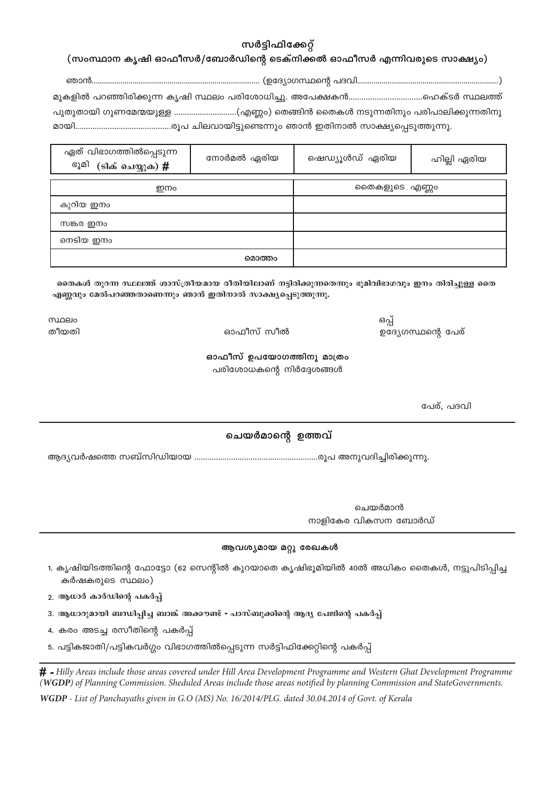#### സർട്ടിഫിക്കേറ്റ്

#### (സംസ്ഥാന കൃഷി ഓഫീസർ/ബോർഡിന്റെ ടെക്നിക്കൽ ഓഫീസർ എന്നിവരുടെ സാക്ഷ്യം)

മുകളിൽ പറഞ്ഞിരിക്കുന്ന കൃഷി സ്ഥലം പരിശോധിച്ചു. അപേക്ഷകൻ..................................കെടർ സ്ഥലത്ത്

പുതുതായി ഗുണമേന്മയുള്ള .............................(എണ്ണം) തെങ്ങിൻ തൈകൾ നടുന്നതിനും പരിപാലിക്കുന്നതിനു 

| ഏത് വിഭാഗത്തിൽപ്പെടുന്ന<br>ഭൂമി<br>(ടിക് ചെയ്യുക) <b>#</b> | നോർമൽ ഏരിയ | ഷെഡ്യൂൾഡ് ഏരിയ | ഹില്ലി ഏരിയ |  |  |  |  |
|------------------------------------------------------------|------------|----------------|-------------|--|--|--|--|
|                                                            |            |                |             |  |  |  |  |
| ഇനം                                                        |            | തൈകളുടെ എണ്ണം  |             |  |  |  |  |
| കുറിയ ഇനം                                                  |            |                |             |  |  |  |  |
| സങ്കര ഇനം                                                  |            |                |             |  |  |  |  |
| നെടിയ ഇനം                                                  |            |                |             |  |  |  |  |
|                                                            | മൊത്തം     |                |             |  |  |  |  |

തൈകൾ തുറന്ന സ്ഥലത്ത് ശാസ്ത്രീയമായ രീതിയിലാണ് നട്ടിരിക്കുന്നതെന്നും ഭൂമിവിഭാഗവും ഇനം തിരിച്ചുള്ള തൈ എണ്ണവും മേൽപറഞ്ഞതാണെന്നും ഞാൻ ഇതിനാൽ സാക്ഷ്യപ്പെടുത്തുന്നു.

> ഒപ്പ് ഉദ്യേഗസ്ഥന്റെ പേര്

ഓഫീസ് സീൽ

സ്ഥലം തീയതി

> ഓഫീസ് ഉപയോഗത്തിനു മാത്രം പരിശോധകന്റെ നിർദ്ദേശങ്ങൾ

> > പേര്. പദവി

#### ചെയർമാന്റെ ഉത്തവ്

ചെയർമാൻ നാളികേര വികസന ബോർഡ്

#### ആവശ്യമായ മറ്റു രേഖകൾ

- 1. കൃഷിയിടത്തിന്റെ ഫോട്ടോ (62 സെന്റിൽ കുറയാതെ കൃഷിഭൂമിയിൽ 40ൽ അധികം തൈകൾ, നട്ടുപിടിപ്പിച്ച കർഷകരുടെ സ്ഥലം)
- 2. ആധാർ കാർഡിന്റെ പകർപ്പ്
- 3. ആധാറുമായി ബന്ധിപ്പിച്ച ബാങ്ക് അക്കൗണ്ട് പാസ്ബുക്കിന്റെ ആദ്യ പേജിന്റെ പകർപ്പ്
- 4. കരം അടച്ച രസീതിന്റെ പകർപ്പ്
- 5. പട്ടികജാതി/പട്ടികവർഗ്ഗം വിഭാഗത്തിൽപ്പെടുന്ന സർട്ടിഫിക്കേറ്റിന്റെ പകർപ്പ്

 $\#$  - Hilly Areas include those areas covered under Hill Area Development Programme and Western Ghat Development Programme (WGDP) of Planning Commission. Sheduled Areas include those areas notified by planning Commission and StateGovernments.

WGDP - List of Panchayaths given in G.O (MS) No. 16/2014/PLG. dated 30.04.2014 of Govt. of Kerala